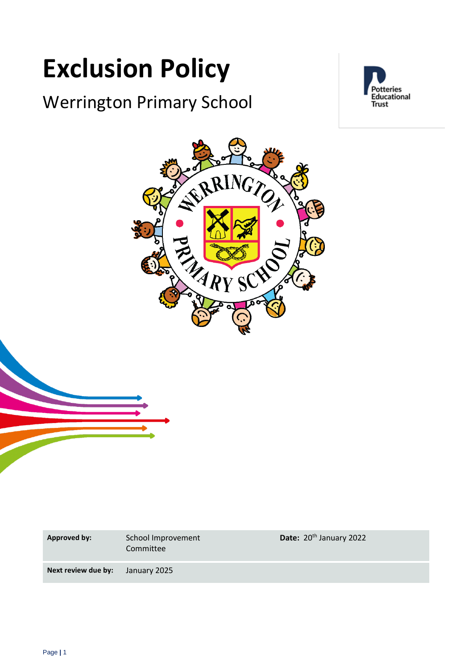# **Exclusion Policy**

# Werrington Primary School





| <b>Approved by:</b> | School Improvement<br>Committee | Date: 20 <sup>th</sup> January 2022 |
|---------------------|---------------------------------|-------------------------------------|
| Next review due by: | January 2025                    |                                     |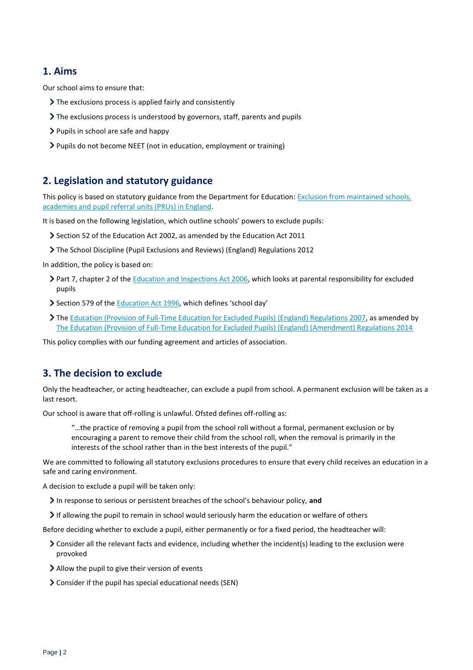# **1. Aims**

Our school aims to ensure that:

- The exclusions process is applied fairly and consistently
- The exclusions process is understood by governors, staff, parents and pupils
- Pupils in school are safe and happy
- Pupils do not become NEET (not in education, employment or training)

# **2. Legislation and statutory guidance**

This policy is based on statutory guidance from the Department for Education: Exclusion from maintained schools, [academies and pupil referral units \(PRUs\) in England.](https://www.gov.uk/government/publications/school-exclusion)

It is based on the following legislation, which outline schools' powers to exclude pupils:

- Section 52 of the [Education Act 2002,](http://www.legislation.gov.uk/ukpga/2002/32/section/52) as amended by the [Education Act 2011](http://www.legislation.gov.uk/ukpga/2011/21/contents/enacted)
- [The School Discipline \(Pupil Exclusions and Reviews\) \(England\) Regulations 2012](http://www.legislation.gov.uk/uksi/2012/1033/made)

In addition, the policy is based on:

- Part 7, chapter 2 of the [Education and Inspections Act 2006,](http://www.legislation.gov.uk/ukpga/2006/40/part/7/chapter/2) which looks at parental responsibility for excluded pupils
- Section 579 of the [Education Act 1996,](http://www.legislation.gov.uk/ukpga/1996/56/section/579) which defines 'school day'
- The [Education \(Provision of Full-Time Education for Excluded Pupils\) \(England\) Regulations 2007,](http://www.legislation.gov.uk/uksi/2007/1870/contents/made) as amended by [The Education \(Provision of Full-Time Education for Excluded Pupils\) \(England\) \(Amendment\) Regulations 2014](http://www.legislation.gov.uk/uksi/2014/3216/contents/made)

This policy complies with our funding agreement and articles of association.

## **3. The decision to exclude**

Only the headteacher, or acting headteacher, can exclude a pupil from school. A permanent exclusion will be taken as a last resort.

Our school is aware that off-rolling is unlawful. Ofsted defines off-rolling as:

"…the practice of removing a pupil from the school roll without a formal, permanent exclusion or by encouraging a parent to remove their child from the school roll, when the removal is primarily in the interests of the school rather than in the best interests of the pupil."

We are committed to following all statutory exclusions procedures to ensure that every child receives an education in a safe and caring environment.

A decision to exclude a pupil will be taken only:

- In response to serious or persistent breaches of the school's behaviour policy, **and**
- If allowing the pupil to remain in school would seriously harm the education or welfare of others

Before deciding whether to exclude a pupil, either permanently or for a fixed period, the headteacher will:

- Consider all the relevant facts and evidence, including whether the incident(s) leading to the exclusion were provoked
- Allow the pupil to give their version of events
- Consider if the pupil has special educational needs (SEN)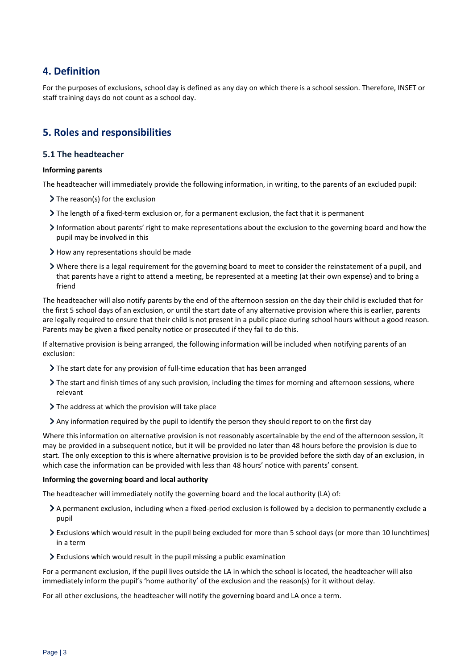# **4. Definition**

For the purposes of exclusions, school day is defined as any day on which there is a school session. Therefore, INSET or staff training days do not count as a school day.

# **5. Roles and responsibilities**

#### **5.1 The headteacher**

#### **Informing parents**

The headteacher will immediately provide the following information, in writing, to the parents of an excluded pupil:

- $\sum$  The reason(s) for the exclusion
- The length of a fixed-term exclusion or, for a permanent exclusion, the fact that it is permanent
- Information about parents' right to make representations about the exclusion to the governing board and how the pupil may be involved in this
- How any representations should be made
- Where there is a legal requirement for the governing board to meet to consider the reinstatement of a pupil, and that parents have a right to attend a meeting, be represented at a meeting (at their own expense) and to bring a friend

The headteacher will also notify parents by the end of the afternoon session on the day their child is excluded that for the first 5 school days of an exclusion, or until the start date of any alternative provision where this is earlier, parents are legally required to ensure that their child is not present in a public place during school hours without a good reason. Parents may be given a fixed penalty notice or prosecuted if they fail to do this.

If alternative provision is being arranged, the following information will be included when notifying parents of an exclusion:

- The start date for any provision of full-time education that has been arranged
- The start and finish times of any such provision, including the times for morning and afternoon sessions, where relevant
- $\sum$  The address at which the provision will take place
- Any information required by the pupil to identify the person they should report to on the first day

Where this information on alternative provision is not reasonably ascertainable by the end of the afternoon session, it may be provided in a subsequent notice, but it will be provided no later than 48 hours before the provision is due to start. The only exception to this is where alternative provision is to be provided before the sixth day of an exclusion, in which case the information can be provided with less than 48 hours' notice with parents' consent.

#### **Informing the governing board and local authority**

The headteacher will immediately notify the governing board and the local authority (LA) of:

- A permanent exclusion, including when a fixed-period exclusion is followed by a decision to permanently exclude a pupil
- Exclusions which would result in the pupil being excluded for more than 5 school days (or more than 10 lunchtimes) in a term
- Exclusions which would result in the pupil missing a public examination

For a permanent exclusion, if the pupil lives outside the LA in which the school is located, the headteacher will also immediately inform the pupil's 'home authority' of the exclusion and the reason(s) for it without delay.

For all other exclusions, the headteacher will notify the governing board and LA once a term.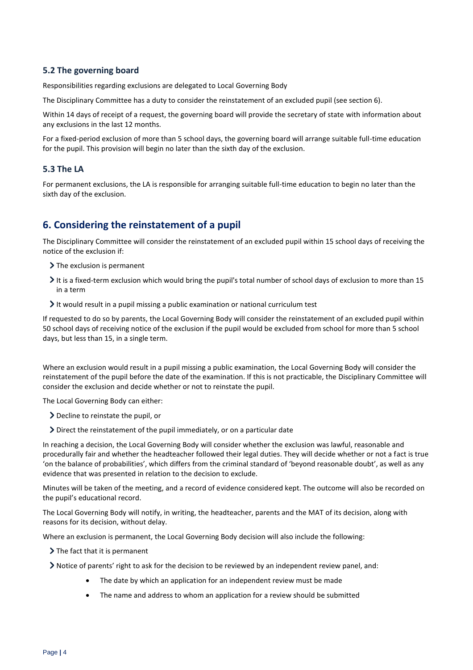#### **5.2 The governing board**

Responsibilities regarding exclusions are delegated to Local Governing Body

The Disciplinary Committee has a duty to consider the reinstatement of an excluded pupil (see section 6).

Within 14 days of receipt of a request, the governing board will provide the secretary of state with information about any exclusions in the last 12 months.

For a fixed-period exclusion of more than 5 school days, the governing board will arrange suitable full-time education for the pupil. This provision will begin no later than the sixth day of the exclusion.

#### **5.3 The LA**

For permanent exclusions, the LA is responsible for arranging suitable full-time education to begin no later than the sixth day of the exclusion.

# **6. Considering the reinstatement of a pupil**

The Disciplinary Committee will consider the reinstatement of an excluded pupil within 15 school days of receiving the notice of the exclusion if:

- > The exclusion is permanent
- It is a fixed-term exclusion which would bring the pupil's total number of school days of exclusion to more than 15 in a term
- $\geq$  It would result in a pupil missing a public examination or national curriculum test

If requested to do so by parents, the Local Governing Body will consider the reinstatement of an excluded pupil within 50 school days of receiving notice of the exclusion if the pupil would be excluded from school for more than 5 school days, but less than 15, in a single term.

Where an exclusion would result in a pupil missing a public examination, the Local Governing Body will consider the reinstatement of the pupil before the date of the examination. If this is not practicable, the Disciplinary Committee will consider the exclusion and decide whether or not to reinstate the pupil.

The Local Governing Body can either:

- Decline to reinstate the pupil, or
- Direct the reinstatement of the pupil immediately, or on a particular date

In reaching a decision, the Local Governing Body will consider whether the exclusion was lawful, reasonable and procedurally fair and whether the headteacher followed their legal duties. They will decide whether or not a fact is true 'on the balance of probabilities', which differs from the criminal standard of 'beyond reasonable doubt', as well as any evidence that was presented in relation to the decision to exclude.

Minutes will be taken of the meeting, and a record of evidence considered kept. The outcome will also be recorded on the pupil's educational record.

The Local Governing Body will notify, in writing, the headteacher, parents and the MAT of its decision, along with reasons for its decision, without delay.

Where an exclusion is permanent, the Local Governing Body decision will also include the following:

 $\sum$  The fact that it is permanent

Notice of parents' right to ask for the decision to be reviewed by an independent review panel, and:

- The date by which an application for an independent review must be made
- The name and address to whom an application for a review should be submitted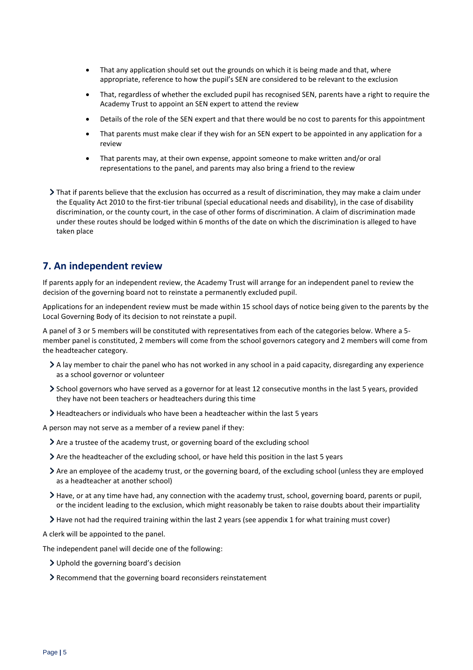- That any application should set out the grounds on which it is being made and that, where appropriate, reference to how the pupil's SEN are considered to be relevant to the exclusion
- That, regardless of whether the excluded pupil has recognised SEN, parents have a right to require the Academy Trust to appoint an SEN expert to attend the review
- Details of the role of the SEN expert and that there would be no cost to parents for this appointment
- That parents must make clear if they wish for an SEN expert to be appointed in any application for a review
- That parents may, at their own expense, appoint someone to make written and/or oral representations to the panel, and parents may also bring a friend to the review
- That if parents believe that the exclusion has occurred as a result of discrimination, they may make a claim under the Equality Act 2010 to the first-tier tribunal (special educational needs and disability), in the case of disability discrimination, or the county court, in the case of other forms of discrimination. A claim of discrimination made under these routes should be lodged within 6 months of the date on which the discrimination is alleged to have taken place

# **7. An independent review**

If parents apply for an independent review, the Academy Trust will arrange for an independent panel to review the decision of the governing board not to reinstate a permanently excluded pupil.

Applications for an independent review must be made within 15 school days of notice being given to the parents by the Local Governing Body of its decision to not reinstate a pupil.

A panel of 3 or 5 members will be constituted with representatives from each of the categories below. Where a 5 member panel is constituted, 2 members will come from the school governors category and 2 members will come from the headteacher category.

- A lay member to chair the panel who has not worked in any school in a paid capacity, disregarding any experience as a school governor or volunteer
- School governors who have served as a governor for at least 12 consecutive months in the last 5 years, provided they have not been teachers or headteachers during this time
- Headteachers or individuals who have been a headteacher within the last 5 years

A person may not serve as a member of a review panel if they:

- Are a trustee of the academy trust, or governing board of the excluding school
- Are the headteacher of the excluding school, or have held this position in the last 5 years
- Are an employee of the academy trust, or the governing board, of the excluding school (unless they are employed as a headteacher at another school)
- Have, or at any time have had, any connection with the academy trust, school, governing board, parents or pupil, or the incident leading to the exclusion, which might reasonably be taken to raise doubts about their impartiality
- $\geq$  Have not had the required training within the last 2 years (see appendix 1 for what training must cover)

A clerk will be appointed to the panel.

The independent panel will decide one of the following:

- Uphold the governing board's decision
- Recommend that the governing board reconsiders reinstatement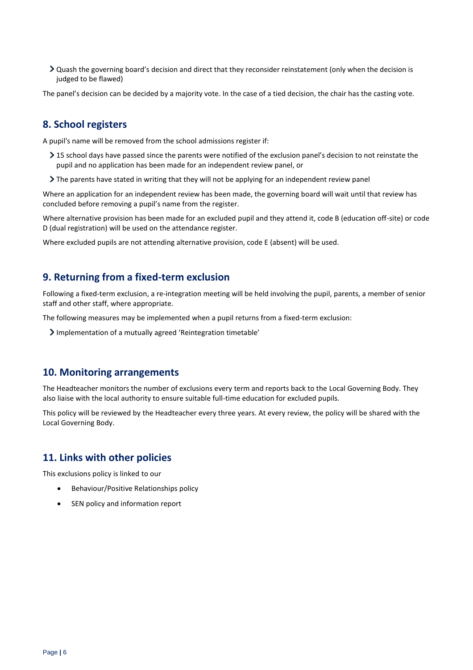Quash the governing board's decision and direct that they reconsider reinstatement (only when the decision is judged to be flawed)

The panel's decision can be decided by a majority vote. In the case of a tied decision, the chair has the casting vote.

# **8. School registers**

A pupil's name will be removed from the school admissions register if:

- ▶ 15 school days have passed since the parents were notified of the exclusion panel's decision to not reinstate the pupil and no application has been made for an independent review panel, or
- The parents have stated in writing that they will not be applying for an independent review panel

Where an application for an independent review has been made, the governing board will wait until that review has concluded before removing a pupil's name from the register.

Where alternative provision has been made for an excluded pupil and they attend it, code B (education off-site) or code D (dual registration) will be used on the attendance register.

Where excluded pupils are not attending alternative provision, code E (absent) will be used.

#### **9. Returning from a fixed-term exclusion**

Following a fixed-term exclusion, a re-integration meeting will be held involving the pupil, parents, a member of senior staff and other staff, where appropriate.

The following measures may be implemented when a pupil returns from a fixed-term exclusion:

Implementation of a mutually agreed 'Reintegration timetable'

#### **10. Monitoring arrangements**

The Headteacher monitors the number of exclusions every term and reports back to the Local Governing Body. They also liaise with the local authority to ensure suitable full-time education for excluded pupils.

This policy will be reviewed by the Headteacher every three years. At every review, the policy will be shared with the Local Governing Body.

## **11. Links with other policies**

This exclusions policy is linked to our

- **•** Behaviour/Positive Relationships policy
- SEN policy and information report